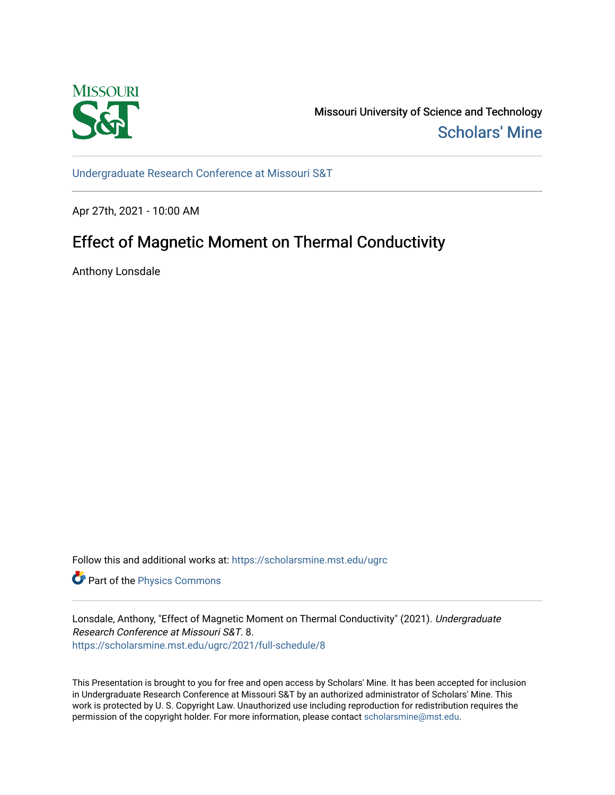

Missouri University of Science and Technology [Scholars' Mine](https://scholarsmine.mst.edu/) 

[Undergraduate Research Conference at Missouri S&T](https://scholarsmine.mst.edu/ugrc)

Apr 27th, 2021 - 10:00 AM

## Effect of Magnetic Moment on Thermal Conductivity

Anthony Lonsdale

Follow this and additional works at: [https://scholarsmine.mst.edu/ugrc](https://scholarsmine.mst.edu/ugrc?utm_source=scholarsmine.mst.edu%2Fugrc%2F2021%2Ffull-schedule%2F8&utm_medium=PDF&utm_campaign=PDFCoverPages) 

**Part of the [Physics Commons](http://network.bepress.com/hgg/discipline/193?utm_source=scholarsmine.mst.edu%2Fugrc%2F2021%2Ffull-schedule%2F8&utm_medium=PDF&utm_campaign=PDFCoverPages)** 

Lonsdale, Anthony, "Effect of Magnetic Moment on Thermal Conductivity" (2021). Undergraduate Research Conference at Missouri S&T. 8. [https://scholarsmine.mst.edu/ugrc/2021/full-schedule/8](https://scholarsmine.mst.edu/ugrc/2021/full-schedule/8?utm_source=scholarsmine.mst.edu%2Fugrc%2F2021%2Ffull-schedule%2F8&utm_medium=PDF&utm_campaign=PDFCoverPages)

This Presentation is brought to you for free and open access by Scholars' Mine. It has been accepted for inclusion in Undergraduate Research Conference at Missouri S&T by an authorized administrator of Scholars' Mine. This work is protected by U. S. Copyright Law. Unauthorized use including reproduction for redistribution requires the permission of the copyright holder. For more information, please contact [scholarsmine@mst.edu](mailto:scholarsmine@mst.edu).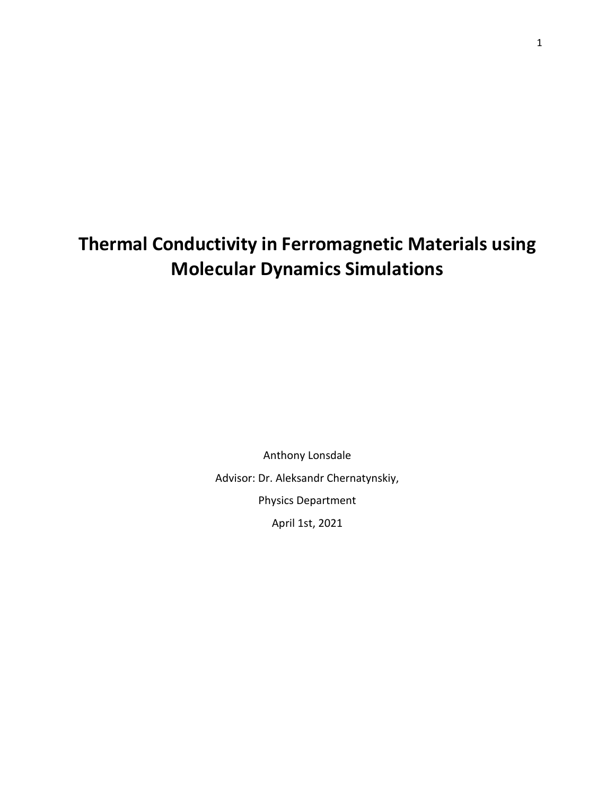## **Thermal Conductivity in Ferromagnetic Materials using Molecular Dynamics Simulations**

Anthony Lonsdale Advisor: Dr. Aleksandr Chernatynskiy, Physics Department April 1st, 2021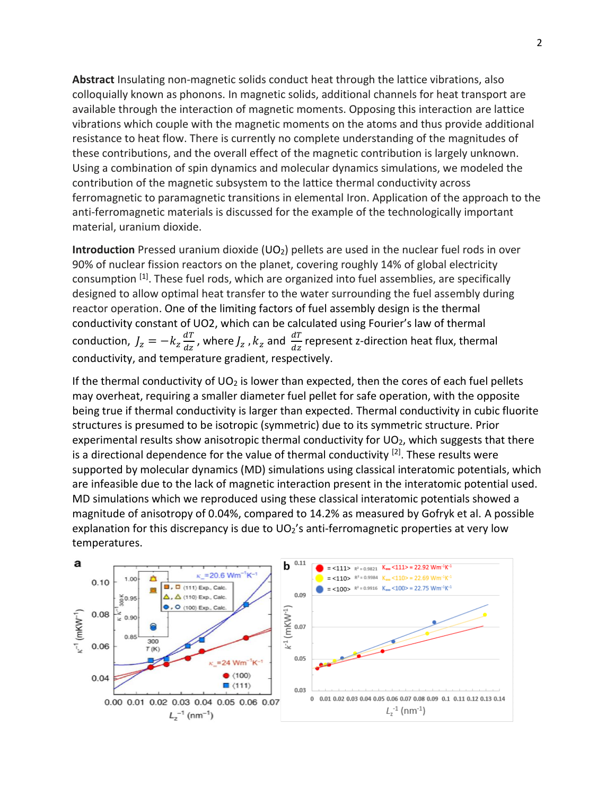**Abstract** Insulating non-magnetic solids conduct heat through the lattice vibrations, also colloquially known as phonons. In magnetic solids, additional channels for heat transport are available through the interaction of magnetic moments. Opposing this interaction are lattice vibrations which couple with the magnetic moments on the atoms and thus provide additional resistance to heat flow. There is currently no complete understanding of the magnitudes of these contributions, and the overall effect of the magnetic contribution is largely unknown. Using a combination of spin dynamics and molecular dynamics simulations, we modeled the contribution of the magnetic subsystem to the lattice thermal conductivity across ferromagnetic to paramagnetic transitions in elemental Iron. Application of the approach to the anti-ferromagnetic materials is discussed for the example of the technologically important material, uranium dioxide.

**Introduction** Pressed uranium dioxide (UO<sub>2</sub>) pellets are used in the nuclear fuel rods in over 90% of nuclear fission reactors on the planet, covering roughly 14% of global electricity consumption [1]. These fuel rods, which are organized into fuel assemblies, are specifically designed to allow optimal heat transfer to the water surrounding the fuel assembly during reactor operation. One of the limiting factors of fuel assembly design is the thermal conductivity constant of UO2, which can be calculated using Fourier's law of thermal conduction,  $J_z = -k_z \frac{dT}{dz}$  $\frac{dT}{dz}$ , where  $J_z$  ,  $k_z$  and  $\frac{dT}{dz}$  represent z-direction heat flux, thermal conductivity, and temperature gradient, respectively.

If the thermal conductivity of  $UO<sub>2</sub>$  is lower than expected, then the cores of each fuel pellets may overheat, requiring a smaller diameter fuel pellet for safe operation, with the opposite being true if thermal conductivity is larger than expected. Thermal conductivity in cubic fluorite structures is presumed to be isotropic (symmetric) due to its symmetric structure. Prior experimental results show anisotropic thermal conductivity for  $UO<sub>2</sub>$ , which suggests that there is a directional dependence for the value of thermal conductivity <sup>[2]</sup>. These results were supported by molecular dynamics (MD) simulations using classical interatomic potentials, which are infeasible due to the lack of magnetic interaction present in the interatomic potential used. MD simulations which we reproduced using these classical interatomic potentials showed a magnitude of anisotropy of 0.04%, compared to 14.2% as measured by Gofryk et al. A possible explanation for this discrepancy is due to  $UO<sub>2</sub>'s$  anti-ferromagnetic properties at very low temperatures.

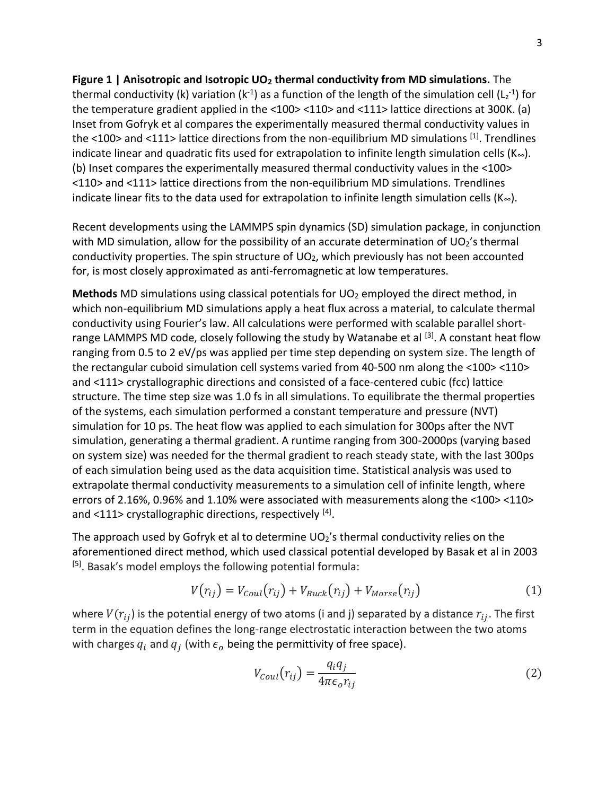**Figure 1 | Anisotropic and Isotropic UO<sup>2</sup> thermal conductivity from MD simulations.** The thermal conductivity (k) variation (k<sup>-1</sup>) as a function of the length of the simulation cell (L<sub>z</sub><sup>-1</sup>) for the temperature gradient applied in the <100> <110> and <111> lattice directions at 300K. (a) Inset from Gofryk et al compares the experimentally measured thermal conductivity values in the <100> and <111> lattice directions from the non-equilibrium MD simulations [1]. Trendlines indicate linear and quadratic fits used for extrapolation to infinite length simulation cells ( $K_{\infty}$ ). (b) Inset compares the experimentally measured thermal conductivity values in the <100> <110> and <111> lattice directions from the non-equilibrium MD simulations. Trendlines indicate linear fits to the data used for extrapolation to infinite length simulation cells ( $K_{\infty}$ ).

Recent developments using the LAMMPS spin dynamics (SD) simulation package, in conjunction with MD simulation, allow for the possibility of an accurate determination of  $UO<sub>2</sub>'s$  thermal conductivity properties. The spin structure of  $UO<sub>2</sub>$ , which previously has not been accounted for, is most closely approximated as anti-ferromagnetic at low temperatures.

**Methods** MD simulations using classical potentials for UO<sub>2</sub> employed the direct method, in which non-equilibrium MD simulations apply a heat flux across a material, to calculate thermal conductivity using Fourier's law. All calculations were performed with scalable parallel shortrange LAMMPS MD code, closely following the study by Watanabe et al  $^{[3]}$ . A constant heat flow ranging from 0.5 to 2 eV/ps was applied per time step depending on system size. The length of the rectangular cuboid simulation cell systems varied from 40-500 nm along the <100> <110> and <111> crystallographic directions and consisted of a face-centered cubic (fcc) lattice structure. The time step size was 1.0 fs in all simulations. To equilibrate the thermal properties of the systems, each simulation performed a constant temperature and pressure (NVT) simulation for 10 ps. The heat flow was applied to each simulation for 300ps after the NVT simulation, generating a thermal gradient. A runtime ranging from 300-2000ps (varying based on system size) was needed for the thermal gradient to reach steady state, with the last 300ps of each simulation being used as the data acquisition time. Statistical analysis was used to extrapolate thermal conductivity measurements to a simulation cell of infinite length, where errors of 2.16%, 0.96% and 1.10% were associated with measurements along the <100> <110> and <111> crystallographic directions, respectively [4].

The approach used by Gofryk et al to determine  $UO_2$ 's thermal conductivity relies on the aforementioned direct method, which used classical potential developed by Basak et al in 2003 [5]. Basak's model employs the following potential formula:

$$
V(r_{ij}) = V_{Coul}(r_{ij}) + V_{Buck}(r_{ij}) + V_{Morse}(r_{ij})
$$
\n
$$
(1)
$$

where  $V(r_{ij})$  is the potential energy of two atoms (i and j) separated by a distance  $r_{ij}$ . The first term in the equation defines the long-range electrostatic interaction between the two atoms with charges  $q_i$  and  $q_j$  (with  $\epsilon_o$  being the permittivity of free space).

$$
V_{Coul}(r_{ij}) = \frac{q_i q_j}{4\pi\epsilon_o r_{ij}}
$$
\n(2)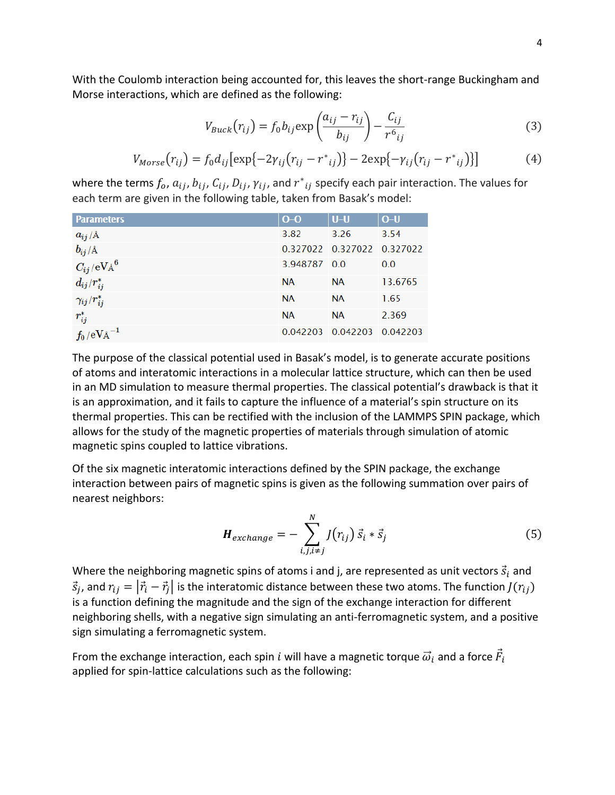With the Coulomb interaction being accounted for, this leaves the short-range Buckingham and Morse interactions, which are defined as the following:

$$
V_{Buck}(r_{ij}) = f_0 b_{ij} \exp\left(\frac{a_{ij} - r_{ij}}{b_{ij}}\right) - \frac{C_{ij}}{r^6}_{ij}
$$
(3)

$$
V_{Morse}(r_{ij}) = f_0 d_{ij} [\exp\{-2\gamma_{ij}(r_{ij} - r^*_{ij})\} - 2\exp\{-\gamma_{ij}(r_{ij} - r^*_{ij})\}]
$$
(4)

where the terms  $f_o$ ,  $a_{ij}$ ,  $b_{ij}$ ,  $C_{ij}$ ,  $D_{ij}$ ,  $\gamma_{ij}$ , and  $r^*{}_{ij}$  specify each pair interaction. The values for each term are given in the following table, taken from Basak's model:

| <b>Parameters</b>                | $O-O$        | $U-U$                      | $O-U$   |
|----------------------------------|--------------|----------------------------|---------|
| $a_{ij}/A$                       | 3.82         | 3.26                       | 3.54    |
| $b_{ij}/A$                       |              | 0.327022 0.327022 0.327022 |         |
| $C_{ij}/{\rm eV\AA}^6$           | 3.948787 0.0 |                            | 0.0     |
| $d_{ij}/r_{ij}^*$                | <b>NA</b>    | <b>NA</b>                  | 13.6765 |
| $\gamma_{ij}/r_{ij}^*$           | <b>NA</b>    | <b>NA</b>                  | 1.65    |
| $r_{ij}^*$                       | <b>NA</b>    | <b>NA</b>                  | 2.369   |
| $f_0/\mathrm{eV\text{\AA}}^{-1}$ |              | 0.042203 0.042203 0.042203 |         |

The purpose of the classical potential used in Basak's model, is to generate accurate positions of atoms and interatomic interactions in a molecular lattice structure, which can then be used in an MD simulation to measure thermal properties. The classical potential's drawback is that it is an approximation, and it fails to capture the influence of a material's spin structure on its thermal properties. This can be rectified with the inclusion of the LAMMPS SPIN package, which allows for the study of the magnetic properties of materials through simulation of atomic magnetic spins coupled to lattice vibrations.

Of the six magnetic interatomic interactions defined by the SPIN package, the exchange interaction between pairs of magnetic spins is given as the following summation over pairs of nearest neighbors:

$$
\boldsymbol{H}_{exchange} = -\sum_{i,j,i\neq j}^{N} J(r_{ij}) \, \vec{s}_i \cdot \vec{s}_j \tag{5}
$$

Where the neighboring magnetic spins of atoms i and j, are represented as unit vectors  $\vec{s}_i$  and  $\vec{s}_j$ , and  $r_{ij}=|\vec{r}_i-\vec{r}_j|$  is the interatomic distance between these two atoms. The function  $J(r_{ij})$ is a function defining the magnitude and the sign of the exchange interaction for different neighboring shells, with a negative sign simulating an anti-ferromagnetic system, and a positive sign simulating a ferromagnetic system.

From the exchange interaction, each spin  $i$  will have a magnetic torque  $\vec{\omega}_i$  and a force  $\vec{F}_i$ applied for spin-lattice calculations such as the following: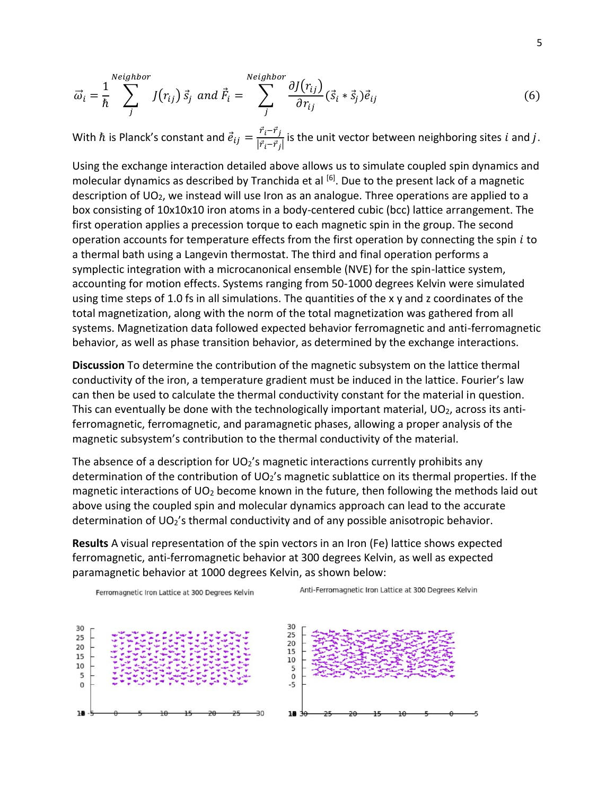$$
\vec{\omega}_i = \frac{1}{\hbar} \sum_j^{neighbor} J(r_{ij}) \vec{s}_j \text{ and } \vec{F}_i = \sum_j^{Neighbour} \frac{\partial J(r_{ij})}{\partial r_{ij}} (\vec{s}_i * \vec{s}_j) \vec{e}_{ij}
$$
(6)

With  $\hbar$  is Planck's constant and  $\vec{e}_{ij} = \frac{\vec{r}_i - \vec{r}_j}{|\vec{r}_i - \vec{r}_j|}$  $\frac{L(T)}{|\vec{r}_i-\vec{r}_j|}$  is the unit vector between neighboring sites i and j.

Using the exchange interaction detailed above allows us to simulate coupled spin dynamics and molecular dynamics as described by Tranchida et al <sup>[6]</sup>. Due to the present lack of a magnetic description of UO2, we instead will use Iron as an analogue. Three operations are applied to a box consisting of 10x10x10 iron atoms in a body-centered cubic (bcc) lattice arrangement. The first operation applies a precession torque to each magnetic spin in the group. The second operation accounts for temperature effects from the first operation by connecting the spin  $i$  to a thermal bath using a Langevin thermostat. The third and final operation performs a symplectic integration with a microcanonical ensemble (NVE) for the spin-lattice system, accounting for motion effects. Systems ranging from 50-1000 degrees Kelvin were simulated using time steps of 1.0 fs in all simulations. The quantities of the x y and z coordinates of the total magnetization, along with the norm of the total magnetization was gathered from all systems. Magnetization data followed expected behavior ferromagnetic and anti-ferromagnetic behavior, as well as phase transition behavior, as determined by the exchange interactions.

**Discussion** To determine the contribution of the magnetic subsystem on the lattice thermal conductivity of the iron, a temperature gradient must be induced in the lattice. Fourier's law can then be used to calculate the thermal conductivity constant for the material in question. This can eventually be done with the technologically important material,  $UO<sub>2</sub>$ , across its antiferromagnetic, ferromagnetic, and paramagnetic phases, allowing a proper analysis of the magnetic subsystem's contribution to the thermal conductivity of the material.

The absence of a description for  $UO<sub>2</sub>'s$  magnetic interactions currently prohibits any determination of the contribution of UO<sub>2</sub>'s magnetic sublattice on its thermal properties. If the magnetic interactions of UO<sub>2</sub> become known in the future, then following the methods laid out above using the coupled spin and molecular dynamics approach can lead to the accurate determination of UO2's thermal conductivity and of any possible anisotropic behavior.

**Results** A visual representation of the spin vectors in an Iron (Fe) lattice shows expected ferromagnetic, anti-ferromagnetic behavior at 300 degrees Kelvin, as well as expected paramagnetic behavior at 1000 degrees Kelvin, as shown below:

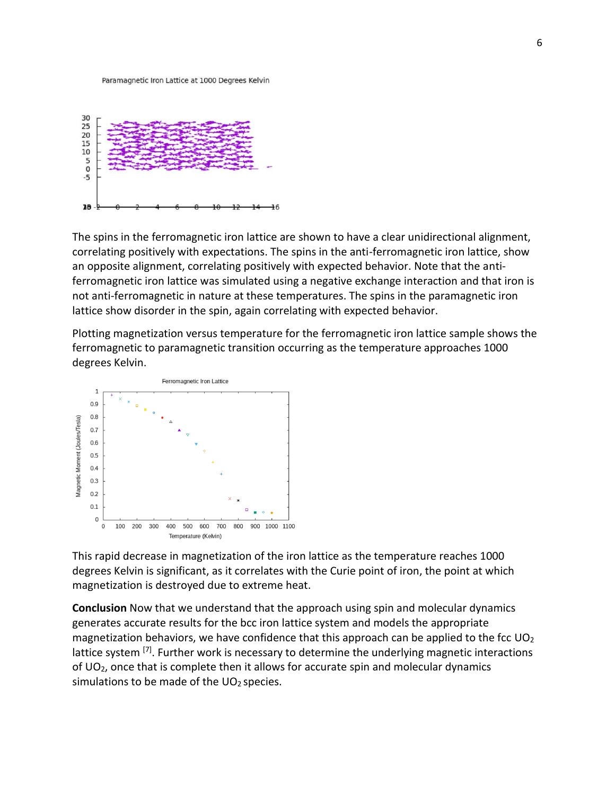Paramagnetic Iron Lattice at 1000 Degrees Kelvin



The spins in the ferromagnetic iron lattice are shown to have a clear unidirectional alignment, correlating positively with expectations. The spins in the anti-ferromagnetic iron lattice, show an opposite alignment, correlating positively with expected behavior. Note that the antiferromagnetic iron lattice was simulated using a negative exchange interaction and that iron is not anti-ferromagnetic in nature at these temperatures. The spins in the paramagnetic iron lattice show disorder in the spin, again correlating with expected behavior.

Plotting magnetization versus temperature for the ferromagnetic iron lattice sample shows the ferromagnetic to paramagnetic transition occurring as the temperature approaches 1000 degrees Kelvin.



This rapid decrease in magnetization of the iron lattice as the temperature reaches 1000 degrees Kelvin is significant, as it correlates with the Curie point of iron, the point at which magnetization is destroyed due to extreme heat.

**Conclusion** Now that we understand that the approach using spin and molecular dynamics generates accurate results for the bcc iron lattice system and models the appropriate magnetization behaviors, we have confidence that this approach can be applied to the fcc  $UO<sub>2</sub>$ lattice system <sup>[7]</sup>. Further work is necessary to determine the underlying magnetic interactions of  $UO<sub>2</sub>$ , once that is complete then it allows for accurate spin and molecular dynamics simulations to be made of the  $UO<sub>2</sub>$  species.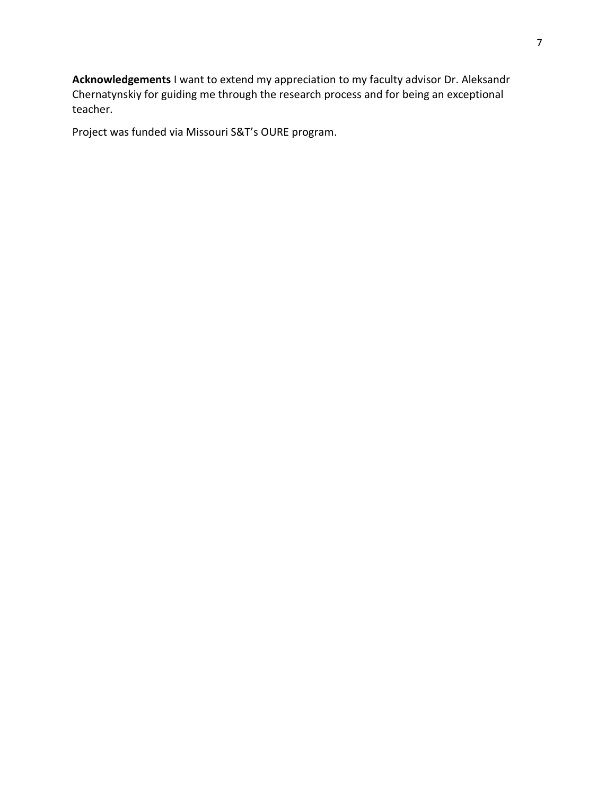**Acknowledgements** I want to extend my appreciation to my faculty advisor Dr. Aleksandr Chernatynskiy for guiding me through the research process and for being an exceptional teacher.

Project was funded via Missouri S&T's OURE program.